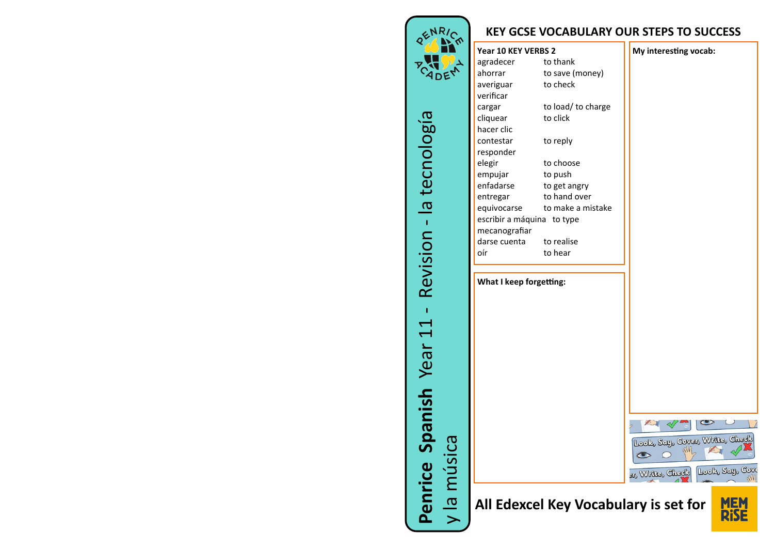

RENRICA **CADEM**  la tecnología Revision - $\mathbf{L}$ **Penrice Spanish** Year 11  $\overline{\phantom{0}}$  $\overline{\phantom{0}}$ Year Spanish y la música Penrice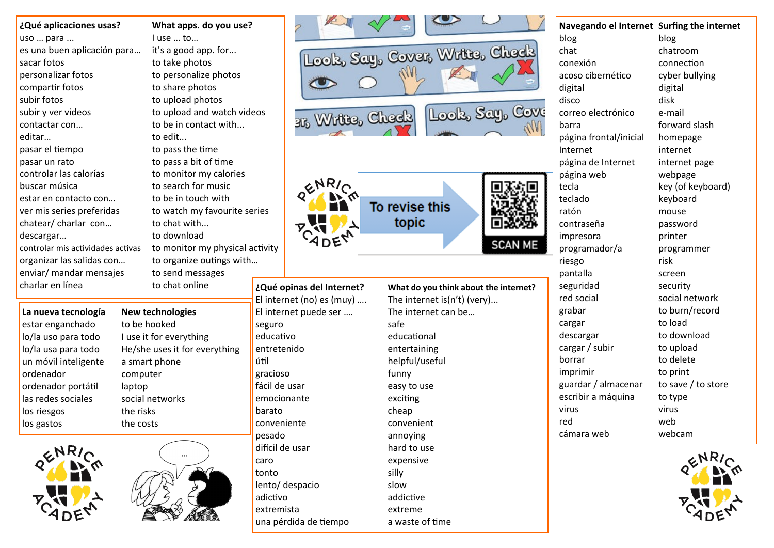| ¿Qué aplicaciones usas?           | What apps. do you use?          |       |  |  |  |
|-----------------------------------|---------------------------------|-------|--|--|--|
| uso  para                         | Luse  to                        |       |  |  |  |
| es una buen aplicación para       | it's a good app. for            |       |  |  |  |
| sacar fotos                       | to take photos                  |       |  |  |  |
| personalizar fotos                | to personalize photos           |       |  |  |  |
| compartir fotos                   | to share photos                 |       |  |  |  |
| subir fotos                       | to upload photos                |       |  |  |  |
| subir y ver videos                | to upload and watch videos      |       |  |  |  |
| contactar con                     | to be in contact with           |       |  |  |  |
| editar                            | to edit                         |       |  |  |  |
| pasar el tiempo                   | to pass the time                |       |  |  |  |
| pasar un rato                     | to pass a bit of time           |       |  |  |  |
| controlar las calorías            | to monitor my calories          |       |  |  |  |
| buscar música                     | to search for music             |       |  |  |  |
| estar en contacto con             | to be in touch with             |       |  |  |  |
| ver mis series preferidas         | to watch my favourite series    |       |  |  |  |
| chatear/ charlar con              | to chat with                    |       |  |  |  |
| descargar                         | to download                     |       |  |  |  |
| controlar mis actividades activas | to monitor my physical activity |       |  |  |  |
| organizar las salidas con         | to organize outings with        |       |  |  |  |
| enviar/ mandar mensajes           | to send messages                |       |  |  |  |
| charlar en línea                  | to chat online                  | ەننΩئ |  |  |  |

## **La nueva tecnología New technologies** estar enganchado to be hooked lo/la uso para todo I use it for everything un móvil inteligente a smart phone ordenador computer ordenador portátil laptop las redes sociales social networks los riesgos the risks los gastos the costs





| hat apps. do you use?        |  |  |  |  |  |
|------------------------------|--|--|--|--|--|
| ise  to                      |  |  |  |  |  |
| s a good app. for            |  |  |  |  |  |
| take photos                  |  |  |  |  |  |
| personalize photos           |  |  |  |  |  |
| share photos                 |  |  |  |  |  |
| upload photos                |  |  |  |  |  |
| upload and watch videos      |  |  |  |  |  |
| be in contact with           |  |  |  |  |  |
| edit                         |  |  |  |  |  |
| pass the time                |  |  |  |  |  |
| pass a bit of time           |  |  |  |  |  |
| monitor my calories          |  |  |  |  |  |
| search for music             |  |  |  |  |  |
| be in touch with             |  |  |  |  |  |
| watch my favourite series    |  |  |  |  |  |
| chat with                    |  |  |  |  |  |
| download                     |  |  |  |  |  |
| monitor my physical activity |  |  |  |  |  |
| organize outings with        |  |  |  |  |  |
| send messages                |  |  |  |  |  |
| chat online<br>¿Qué o        |  |  |  |  |  |

lo/la usa para todo He/she uses it for everything

seguro safe educativo educational entretenido entertaining útil helpful/useful gracioso funny fácil de usar easy to use emocionante exciting barato cheap conveniente convenient pesado annoying difícil de usar hard to use caro expensive tonto silly lento/ despacio slow adictivo addictive extremista extreme una pérdida de tiempo a waste of time

3r, Write, Check

**poinas del Internet?** What do you think about El internet (no) es (muy) …. The internet is(n't) (very)... El internet puede ser …. The internet can be…

| r, Write, Check              | Look, Say, Cover, Write, Check        | Look, Say, Cove | chat<br>conexión<br>acoso cibernético<br>digital<br>disco<br>correo electrónico<br>barra<br>página frontal/inic<br>Internet<br>página de Internet |
|------------------------------|---------------------------------------|-----------------|---------------------------------------------------------------------------------------------------------------------------------------------------|
| <b>RARIC</b><br><b>CADEN</b> | To revise this<br>topic               | <b>SCAN ME</b>  | página web<br>tecla<br>teclado<br>ratón<br>contraseña<br>impresora<br>programador/a<br>riesgo<br>pantalla                                         |
| as del Internet?             | What do you think about the internet? |                 | seguridad                                                                                                                                         |

**Navegando el Internet Surfing the internet** blog blog chatroom connection cyber bullying digital disk e-mail forward slash cial homepage internet internet page webpage key (of keyboard) keyboard mouse password printer programmer risk screen security red social social network grabar to burn/record cargar to load descargar to download cargar / subir to upload borrar to delete imprimir to print guardar / almacenar to save / to store escribir a máquina to type virus virus red web cámara web webcam

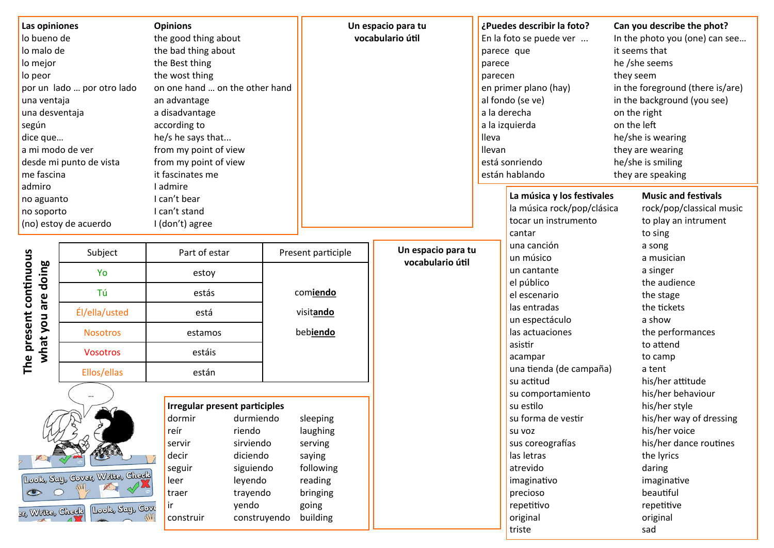| Las opiniones<br>lo bueno de<br>lo malo de<br>lo mejor<br>lo peor<br>por un lado  por otro lado<br>una ventaja<br>una desventaja<br>según<br>dice que<br>a mi modo de ver<br>desde mi punto de vista<br>me fascina<br>admiro<br>no aguanto<br>no soporto<br>(no) estoy de acuerdo |                                                                                           | <b>Opinions</b><br>the good thing about<br>the bad thing about<br>the Best thing<br>the wost thing<br>on one hand  on the other hand<br>an advantage<br>a disadvantage<br>according to<br>he/s he says that<br>from my point of view<br>from my point of view<br>it fascinates me<br>I admire<br>I can't bear<br>I can't stand<br>I (don't) agree |              |                                                                                                    | Un espacio para tu<br>vocabulario útil | parece<br>parecen<br><b>Ileva</b><br>llevan | ¿Puedes describir la foto?<br>En la foto se puede ver<br>parece que<br>en primer plano (hay)<br>al fondo (se ve)<br>a la derecha<br>a la izquierda<br>está sonriendo<br>están hablando    | Can you describe the phot?<br>In the photo you (one) can see<br>it seems that<br>he /she seems<br>they seem<br>in the foreground (there is/are)<br>in the background (you see)<br>on the right<br>on the left<br>he/she is wearing<br>they are wearing<br>he/she is smiling<br>they are speaking |
|-----------------------------------------------------------------------------------------------------------------------------------------------------------------------------------------------------------------------------------------------------------------------------------|-------------------------------------------------------------------------------------------|---------------------------------------------------------------------------------------------------------------------------------------------------------------------------------------------------------------------------------------------------------------------------------------------------------------------------------------------------|--------------|----------------------------------------------------------------------------------------------------|----------------------------------------|---------------------------------------------|-------------------------------------------------------------------------------------------------------------------------------------------------------------------------------------------|--------------------------------------------------------------------------------------------------------------------------------------------------------------------------------------------------------------------------------------------------------------------------------------------------|
|                                                                                                                                                                                                                                                                                   |                                                                                           |                                                                                                                                                                                                                                                                                                                                                   |              |                                                                                                    |                                        |                                             | La música y los festivales<br>la música rock/pop/clásica<br>tocar un instrumento<br>cantar                                                                                                | <b>Music and festivals</b><br>rock/pop/classical music<br>to play an intrument<br>to sing                                                                                                                                                                                                        |
| The present continuous<br>doing<br>are<br>what you                                                                                                                                                                                                                                | Subject<br>Yo<br>Τú<br>Él/ella/usted<br><b>Nosotros</b><br><b>Vosotros</b><br>Ellos/ellas | Part of estar<br>estoy<br>estás<br>está<br>estamos<br>estáis<br>están                                                                                                                                                                                                                                                                             |              | Present participle<br>comiendo<br>visitando<br>bebiendo                                            | Un espacio para tu<br>vocabulario útil |                                             | una canción<br>un músico<br>un cantante<br>el público<br>el escenario<br>las entradas<br>un espectáculo<br>las actuaciones<br>asistir<br>acampar<br>una tienda (de campaña)<br>su actitud | a song<br>a musician<br>a singer<br>the audience<br>the stage<br>the tickets<br>a show<br>the performances<br>to attend<br>to camp<br>a tent<br>his/her attitude                                                                                                                                 |
| $\bullet$<br>31% Write, Check                                                                                                                                                                                                                                                     | Look, Say, Cover, Write, Check<br>Look, Say, Cove                                         | Irregular present participles<br>dormir<br>durmiendo<br>reír<br>riendo<br>sirviendo<br>servir<br>diciendo<br>decir<br>siguiendo<br>seguir<br>leyendo<br>leer<br>trayendo<br>traer<br>yendo<br>ir<br>construir                                                                                                                                     | construyendo | sleeping<br>laughing<br>serving<br>saying<br>following<br>reading<br>bringing<br>going<br>building |                                        |                                             | su comportamiento<br>su estilo<br>su forma de vestir<br>SU VOZ<br>sus coreografías<br>las letras<br>atrevido<br>imaginativo<br>precioso<br>repetitivo<br>original<br>triste               | his/her behaviour<br>his/her style<br>his/her way of dressing<br>his/her voice<br>his/her dance routines<br>the lyrics<br>daring<br>imaginative<br>beautiful<br>repetitive<br>original<br>sad                                                                                                    |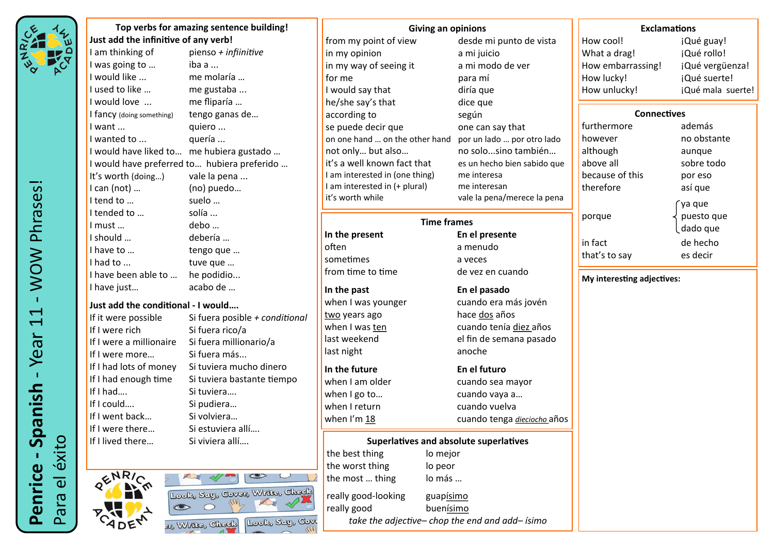

**Top verbs for amazing sentence building! Just add the infinitive of any verb!**<br>I am thinking of pienso + in pienso *+ infiinitive* I was going to ... iba a ... I would like ... me molaría … I used to like ... **me gustaba** ... I would love ... me fliparía … I fancy (doing something) tengo ganas de... I want ... **quiero ...** I wanted to ... quería ... I would have liked to… me hubiera gustado … I would have preferred to… hubiera preferido … It's worth (doing...) vale la pena ... I can (not) … (no) puedo… I tend to … suelo … I tended to ... solía ... I must … debo … I should … debería … I have to ... tengo que ... I had to ... tuve que ... I have been able to ... he podidio... I have just… acabo de … **Just add the conditional - I would….** If it were possible Si fuera posible *+ conditional* If I were rich Si fuera rico/a If I were a millionaire Si fuera millionario/a If I were more... Si fuera más... If I had lots of money Si tuviera mucho dinero If I had enough time Si tuviera bastante tiempo If I had…. Si tuviera….

If I could…. Si pudiera… If I went back… Si volviera… If I were there… Si estuviera allí…. If I lived there... Si viviera allí....



| desde mi punto de vista<br>from my point of view<br>in my opinion<br>a mi juicio<br>a mi modo de ver<br>in my way of seeing it<br>for me<br>para mí<br>I would say that<br>diría que<br>dice que<br>he/she say's that<br>according to<br>según<br>se puede decir que<br>one can say that<br>on one hand  on the other hand<br>por un lado  por otro lado<br>no solosino también<br>not only but also<br>it's a well known fact that<br>es un hecho bien sabido que<br>I am interested in (one thing)<br>me interesa<br>I am interested in (+ plural)<br>me interesan<br>it's worth while<br>vale la pena/merece la pena<br><b>Time frames</b><br>In the present<br>En el presente<br>often<br>a menudo<br>that'<br>sometimes<br>a veces<br>from time to time<br>de vez en cuando<br>In the past<br>En el pasado<br>when I was younger<br>cuando era más jovén<br>hace dos años<br>two years ago<br>when I was ten<br>cuando tenía diez años<br>last weekend<br>el fin de semana pasado<br>last night<br>anoche<br>In the future<br>En el futuro<br>when I am older<br>cuando sea mayor<br>when I go to<br>cuando vaya a<br>when I return<br>cuando vuelva<br>when I'm 18<br>cuando tenga dieciocho años<br><b>Superlatives and absolute superlatives</b><br>the best thing<br>lo mejor<br>the worst thing<br>lo peor<br>lo más<br>the most  thing<br>really good-looking<br>guapisimo<br>really good<br>buenísimo<br>take the adjective-chop the end and add-ísimo | Giving an opinions |       |
|--------------------------------------------------------------------------------------------------------------------------------------------------------------------------------------------------------------------------------------------------------------------------------------------------------------------------------------------------------------------------------------------------------------------------------------------------------------------------------------------------------------------------------------------------------------------------------------------------------------------------------------------------------------------------------------------------------------------------------------------------------------------------------------------------------------------------------------------------------------------------------------------------------------------------------------------------------------------------------------------------------------------------------------------------------------------------------------------------------------------------------------------------------------------------------------------------------------------------------------------------------------------------------------------------------------------------------------------------------------------------------------------------------------------------------------------------------------------|--------------------|-------|
|                                                                                                                                                                                                                                                                                                                                                                                                                                                                                                                                                                                                                                                                                                                                                                                                                                                                                                                                                                                                                                                                                                                                                                                                                                                                                                                                                                                                                                                                    |                    | How   |
|                                                                                                                                                                                                                                                                                                                                                                                                                                                                                                                                                                                                                                                                                                                                                                                                                                                                                                                                                                                                                                                                                                                                                                                                                                                                                                                                                                                                                                                                    |                    | Wha   |
|                                                                                                                                                                                                                                                                                                                                                                                                                                                                                                                                                                                                                                                                                                                                                                                                                                                                                                                                                                                                                                                                                                                                                                                                                                                                                                                                                                                                                                                                    |                    | How   |
|                                                                                                                                                                                                                                                                                                                                                                                                                                                                                                                                                                                                                                                                                                                                                                                                                                                                                                                                                                                                                                                                                                                                                                                                                                                                                                                                                                                                                                                                    |                    | How   |
|                                                                                                                                                                                                                                                                                                                                                                                                                                                                                                                                                                                                                                                                                                                                                                                                                                                                                                                                                                                                                                                                                                                                                                                                                                                                                                                                                                                                                                                                    |                    | How   |
|                                                                                                                                                                                                                                                                                                                                                                                                                                                                                                                                                                                                                                                                                                                                                                                                                                                                                                                                                                                                                                                                                                                                                                                                                                                                                                                                                                                                                                                                    |                    |       |
|                                                                                                                                                                                                                                                                                                                                                                                                                                                                                                                                                                                                                                                                                                                                                                                                                                                                                                                                                                                                                                                                                                                                                                                                                                                                                                                                                                                                                                                                    |                    |       |
|                                                                                                                                                                                                                                                                                                                                                                                                                                                                                                                                                                                                                                                                                                                                                                                                                                                                                                                                                                                                                                                                                                                                                                                                                                                                                                                                                                                                                                                                    |                    | furth |
|                                                                                                                                                                                                                                                                                                                                                                                                                                                                                                                                                                                                                                                                                                                                                                                                                                                                                                                                                                                                                                                                                                                                                                                                                                                                                                                                                                                                                                                                    |                    | how   |
|                                                                                                                                                                                                                                                                                                                                                                                                                                                                                                                                                                                                                                                                                                                                                                                                                                                                                                                                                                                                                                                                                                                                                                                                                                                                                                                                                                                                                                                                    |                    | altho |
|                                                                                                                                                                                                                                                                                                                                                                                                                                                                                                                                                                                                                                                                                                                                                                                                                                                                                                                                                                                                                                                                                                                                                                                                                                                                                                                                                                                                                                                                    |                    | abov  |
|                                                                                                                                                                                                                                                                                                                                                                                                                                                                                                                                                                                                                                                                                                                                                                                                                                                                                                                                                                                                                                                                                                                                                                                                                                                                                                                                                                                                                                                                    |                    | beca  |
|                                                                                                                                                                                                                                                                                                                                                                                                                                                                                                                                                                                                                                                                                                                                                                                                                                                                                                                                                                                                                                                                                                                                                                                                                                                                                                                                                                                                                                                                    |                    | ther  |
|                                                                                                                                                                                                                                                                                                                                                                                                                                                                                                                                                                                                                                                                                                                                                                                                                                                                                                                                                                                                                                                                                                                                                                                                                                                                                                                                                                                                                                                                    |                    |       |
|                                                                                                                                                                                                                                                                                                                                                                                                                                                                                                                                                                                                                                                                                                                                                                                                                                                                                                                                                                                                                                                                                                                                                                                                                                                                                                                                                                                                                                                                    |                    | porq  |
|                                                                                                                                                                                                                                                                                                                                                                                                                                                                                                                                                                                                                                                                                                                                                                                                                                                                                                                                                                                                                                                                                                                                                                                                                                                                                                                                                                                                                                                                    |                    |       |
|                                                                                                                                                                                                                                                                                                                                                                                                                                                                                                                                                                                                                                                                                                                                                                                                                                                                                                                                                                                                                                                                                                                                                                                                                                                                                                                                                                                                                                                                    |                    | in fa |
|                                                                                                                                                                                                                                                                                                                                                                                                                                                                                                                                                                                                                                                                                                                                                                                                                                                                                                                                                                                                                                                                                                                                                                                                                                                                                                                                                                                                                                                                    |                    |       |
|                                                                                                                                                                                                                                                                                                                                                                                                                                                                                                                                                                                                                                                                                                                                                                                                                                                                                                                                                                                                                                                                                                                                                                                                                                                                                                                                                                                                                                                                    |                    |       |
|                                                                                                                                                                                                                                                                                                                                                                                                                                                                                                                                                                                                                                                                                                                                                                                                                                                                                                                                                                                                                                                                                                                                                                                                                                                                                                                                                                                                                                                                    |                    | My ir |
|                                                                                                                                                                                                                                                                                                                                                                                                                                                                                                                                                                                                                                                                                                                                                                                                                                                                                                                                                                                                                                                                                                                                                                                                                                                                                                                                                                                                                                                                    |                    |       |
|                                                                                                                                                                                                                                                                                                                                                                                                                                                                                                                                                                                                                                                                                                                                                                                                                                                                                                                                                                                                                                                                                                                                                                                                                                                                                                                                                                                                                                                                    |                    |       |
|                                                                                                                                                                                                                                                                                                                                                                                                                                                                                                                                                                                                                                                                                                                                                                                                                                                                                                                                                                                                                                                                                                                                                                                                                                                                                                                                                                                                                                                                    |                    |       |
|                                                                                                                                                                                                                                                                                                                                                                                                                                                                                                                                                                                                                                                                                                                                                                                                                                                                                                                                                                                                                                                                                                                                                                                                                                                                                                                                                                                                                                                                    |                    |       |
|                                                                                                                                                                                                                                                                                                                                                                                                                                                                                                                                                                                                                                                                                                                                                                                                                                                                                                                                                                                                                                                                                                                                                                                                                                                                                                                                                                                                                                                                    |                    |       |
|                                                                                                                                                                                                                                                                                                                                                                                                                                                                                                                                                                                                                                                                                                                                                                                                                                                                                                                                                                                                                                                                                                                                                                                                                                                                                                                                                                                                                                                                    |                    |       |
|                                                                                                                                                                                                                                                                                                                                                                                                                                                                                                                                                                                                                                                                                                                                                                                                                                                                                                                                                                                                                                                                                                                                                                                                                                                                                                                                                                                                                                                                    |                    |       |
|                                                                                                                                                                                                                                                                                                                                                                                                                                                                                                                                                                                                                                                                                                                                                                                                                                                                                                                                                                                                                                                                                                                                                                                                                                                                                                                                                                                                                                                                    |                    |       |
|                                                                                                                                                                                                                                                                                                                                                                                                                                                                                                                                                                                                                                                                                                                                                                                                                                                                                                                                                                                                                                                                                                                                                                                                                                                                                                                                                                                                                                                                    |                    |       |
|                                                                                                                                                                                                                                                                                                                                                                                                                                                                                                                                                                                                                                                                                                                                                                                                                                                                                                                                                                                                                                                                                                                                                                                                                                                                                                                                                                                                                                                                    |                    |       |
|                                                                                                                                                                                                                                                                                                                                                                                                                                                                                                                                                                                                                                                                                                                                                                                                                                                                                                                                                                                                                                                                                                                                                                                                                                                                                                                                                                                                                                                                    |                    |       |
|                                                                                                                                                                                                                                                                                                                                                                                                                                                                                                                                                                                                                                                                                                                                                                                                                                                                                                                                                                                                                                                                                                                                                                                                                                                                                                                                                                                                                                                                    |                    |       |
|                                                                                                                                                                                                                                                                                                                                                                                                                                                                                                                                                                                                                                                                                                                                                                                                                                                                                                                                                                                                                                                                                                                                                                                                                                                                                                                                                                                                                                                                    |                    |       |
|                                                                                                                                                                                                                                                                                                                                                                                                                                                                                                                                                                                                                                                                                                                                                                                                                                                                                                                                                                                                                                                                                                                                                                                                                                                                                                                                                                                                                                                                    |                    |       |
|                                                                                                                                                                                                                                                                                                                                                                                                                                                                                                                                                                                                                                                                                                                                                                                                                                                                                                                                                                                                                                                                                                                                                                                                                                                                                                                                                                                                                                                                    |                    |       |
|                                                                                                                                                                                                                                                                                                                                                                                                                                                                                                                                                                                                                                                                                                                                                                                                                                                                                                                                                                                                                                                                                                                                                                                                                                                                                                                                                                                                                                                                    |                    |       |
|                                                                                                                                                                                                                                                                                                                                                                                                                                                                                                                                                                                                                                                                                                                                                                                                                                                                                                                                                                                                                                                                                                                                                                                                                                                                                                                                                                                                                                                                    |                    |       |
|                                                                                                                                                                                                                                                                                                                                                                                                                                                                                                                                                                                                                                                                                                                                                                                                                                                                                                                                                                                                                                                                                                                                                                                                                                                                                                                                                                                                                                                                    |                    |       |
|                                                                                                                                                                                                                                                                                                                                                                                                                                                                                                                                                                                                                                                                                                                                                                                                                                                                                                                                                                                                                                                                                                                                                                                                                                                                                                                                                                                                                                                                    |                    |       |
|                                                                                                                                                                                                                                                                                                                                                                                                                                                                                                                                                                                                                                                                                                                                                                                                                                                                                                                                                                                                                                                                                                                                                                                                                                                                                                                                                                                                                                                                    |                    |       |

| <b>Exclamations</b>    |
|------------------------|
| ¡Qué guay!             |
| ¡Qué rollo!            |
| ¡Qué vergüenza!        |
| ¡Qué suerte!           |
| ¡Qué mala suerte!      |
| Connectives            |
| además                 |
| no obstante            |
| aunque                 |
| sobre todo             |
| por eso                |
| así que                |
| ya que                 |
| puesto que<br>dado que |
|                        |
| de hecho               |
| es decir               |
|                        |

**My interesting adjectives:**